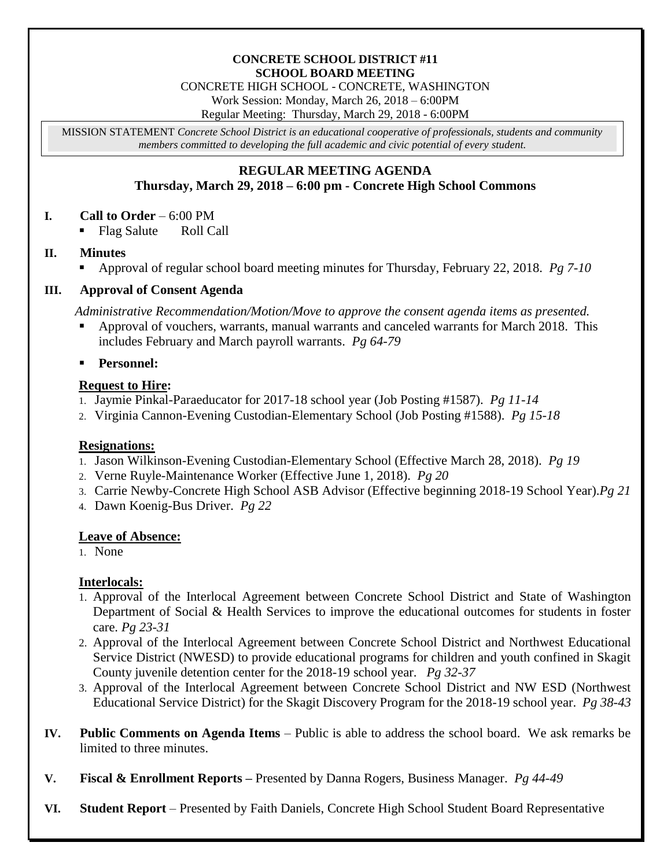## **CONCRETE SCHOOL DISTRICT #11 SCHOOL BOARD MEETING**

CONCRETE HIGH SCHOOL - CONCRETE, WASHINGTON

Work Session: Monday, March 26, 2018 – 6:00PM

Regular Meeting: Thursday, March 29, 2018 - 6:00PM

MISSION STATEMENT *Concrete School District is an educational cooperative of professionals, students and community members committed to developing the full academic and civic potential of every student.*

## **REGULAR MEETING AGENDA Thursday, March 29, 2018 – 6:00 pm - Concrete High School Commons**

**I. Call to Order** – 6:00 PM

Flag Salute Roll Call

## **II. Minutes**

Approval of regular school board meeting minutes for Thursday, February 22, 2018. *Pg 7-10*

#### **III. Approval of Consent Agenda**

*Administrative Recommendation/Motion/Move to approve the consent agenda items as presented.*

- Approval of vouchers, warrants, manual warrants and canceled warrants for March 2018. This includes February and March payroll warrants. *Pg 64-79*
- **Personnel:**

## **Request to Hire:**

- 1. Jaymie Pinkal-Paraeducator for 2017-18 school year (Job Posting #1587). *Pg 11-14*
- 2. Virginia Cannon-Evening Custodian-Elementary School (Job Posting #1588). *Pg 15-18*

## **Resignations:**

- 1. Jason Wilkinson-Evening Custodian-Elementary School (Effective March 28, 2018). *Pg 19*
- 2. Verne Ruyle-Maintenance Worker (Effective June 1, 2018). *Pg 20*
- 3. Carrie Newby-Concrete High School ASB Advisor (Effective beginning 2018-19 School Year).*Pg 21*
- 4. Dawn Koenig-Bus Driver. *Pg 22*

#### **Leave of Absence:**

1. None

## **Interlocals:**

- 1. Approval of the Interlocal Agreement between Concrete School District and State of Washington Department of Social & Health Services to improve the educational outcomes for students in foster care. *Pg 23-31*
- 2. Approval of the Interlocal Agreement between Concrete School District and Northwest Educational Service District (NWESD) to provide educational programs for children and youth confined in Skagit County juvenile detention center for the 2018-19 school year. *Pg 32-37*
- 3. Approval of the Interlocal Agreement between Concrete School District and NW ESD (Northwest Educational Service District) for the Skagit Discovery Program for the 2018-19 school year. *Pg 38-43*
- **IV. Public Comments on Agenda Items** Public is able to address the school board. We ask remarks be limited to three minutes.
- **V. Fiscal & Enrollment Reports –** Presented by Danna Rogers, Business Manager. *Pg 44-49*
- **VI. Student Report** Presented by Faith Daniels, Concrete High School Student Board Representative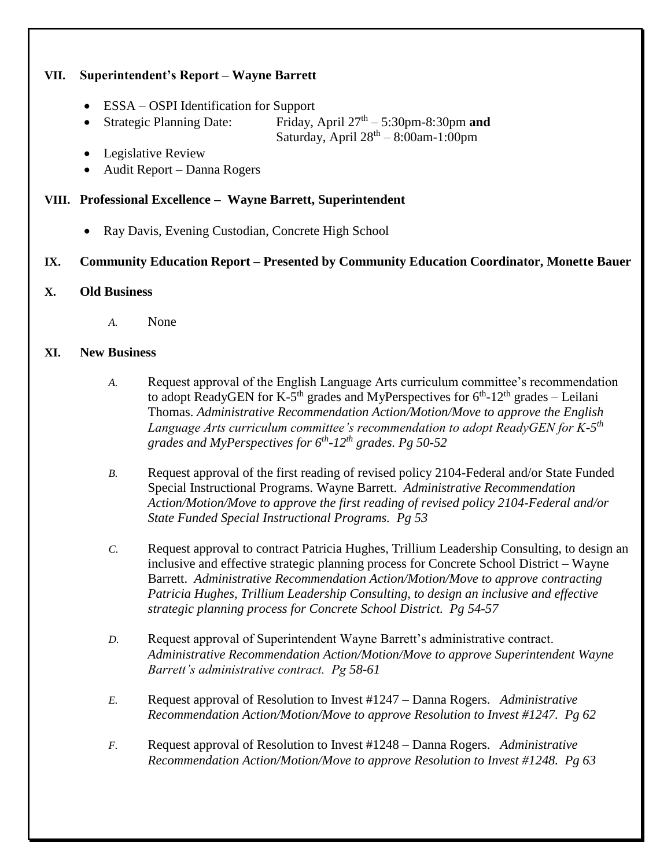## **VII. Superintendent's Report – Wayne Barrett**

- ESSA OSPI Identification for Support
- Strategic Planning Date: Friday, April  $27<sup>th</sup> - 5:30$ pm-8:30pm **and** Saturday, April  $28<sup>th</sup> - 8:00$ am-1:00pm
- Legislative Review
- Audit Report Danna Rogers

## **VIII. Professional Excellence – Wayne Barrett, Superintendent**

Ray Davis, Evening Custodian, Concrete High School

# **IX. Community Education Report – Presented by Community Education Coordinator, Monette Bauer**

#### **X. Old Business**

*A.* None

#### **XI. New Business**

- *A.* Request approval of the English Language Arts curriculum committee's recommendation to adopt ReadyGEN for K-5<sup>th</sup> grades and MyPerspectives for  $6<sup>th</sup>$ -12<sup>th</sup> grades – Leilani Thomas. *Administrative Recommendation Action/Motion/Move to approve the English Language Arts curriculum committee's recommendation to adopt ReadyGEN for K-5 th grades and MyPerspectives for 6th -12th grades. Pg 50-52*
- *B.* Request approval of the first reading of revised policy 2104-Federal and/or State Funded Special Instructional Programs. Wayne Barrett. *Administrative Recommendation Action/Motion/Move to approve the first reading of revised policy 2104-Federal and/or State Funded Special Instructional Programs. Pg 53*
- *C.* Request approval to contract Patricia Hughes, Trillium Leadership Consulting, to design an inclusive and effective strategic planning process for Concrete School District – Wayne Barrett. *Administrative Recommendation Action/Motion/Move to approve contracting Patricia Hughes, Trillium Leadership Consulting, to design an inclusive and effective strategic planning process for Concrete School District. Pg 54-57*
- *D.* Request approval of Superintendent Wayne Barrett's administrative contract. *Administrative Recommendation Action/Motion/Move to approve Superintendent Wayne Barrett's administrative contract. Pg 58-61*
- *E.* Request approval of Resolution to Invest #1247 Danna Rogers. *Administrative Recommendation Action/Motion/Move to approve Resolution to Invest #1247. Pg 62*
- *F.* Request approval of Resolution to Invest #1248 Danna Rogers. *Administrative Recommendation Action/Motion/Move to approve Resolution to Invest #1248. Pg 63*